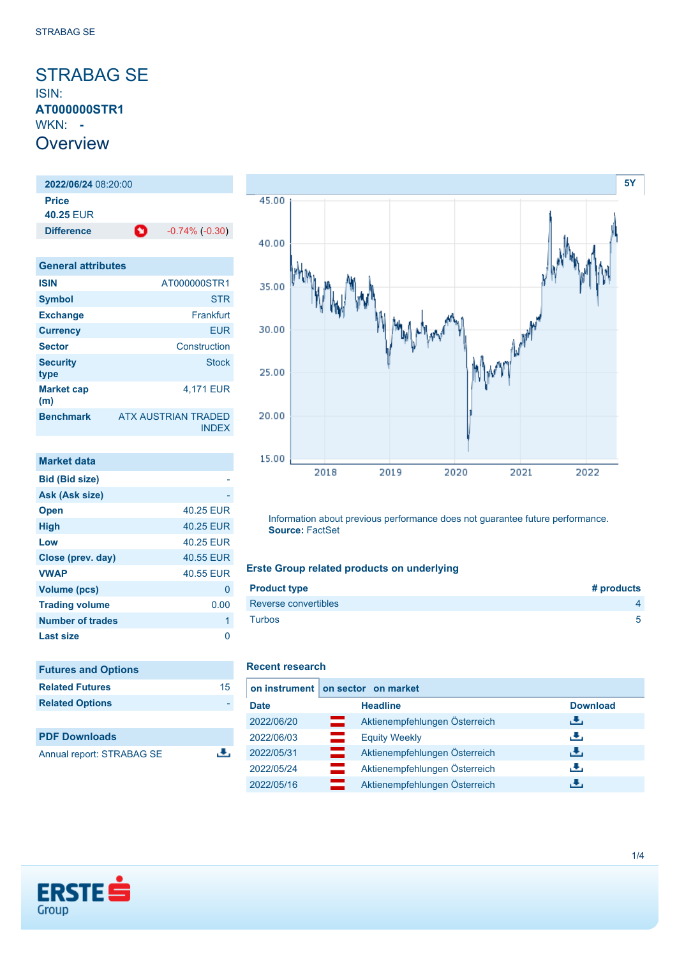## <span id="page-0-0"></span>STRABAG SE ISIN: **AT000000STR1** WKN: **- Overview**

**2022/06/24** 08:20:00 **Price 40.25** EUR **Difference 1** -0.74% (-0.30)

| <b>General attributes</b> |                                            |
|---------------------------|--------------------------------------------|
| <b>ISIN</b>               | AT000000STR1                               |
| <b>Symbol</b>             | <b>STR</b>                                 |
| <b>Exchange</b>           | Frankfurt                                  |
| <b>Currency</b>           | <b>EUR</b>                                 |
| <b>Sector</b>             | Construction                               |
| <b>Security</b><br>type   | <b>Stock</b>                               |
| <b>Market cap</b><br>(m)  | 4.171 EUR                                  |
| <b>Benchmark</b>          | <b>ATX AUSTRIAN TRADED</b><br><b>INDFX</b> |

| Market data             |           |
|-------------------------|-----------|
| <b>Bid (Bid size)</b>   |           |
| Ask (Ask size)          |           |
| <b>Open</b>             | 40.25 EUR |
| <b>High</b>             | 40.25 EUR |
| Low                     | 40.25 FUR |
| Close (prev. day)       | 40.55 EUR |
| <b>VWAP</b>             | 40.55 EUR |
| <b>Volume (pcs)</b>     | 0         |
| <b>Trading volume</b>   | 0.00      |
| <b>Number of trades</b> | 1         |
| Last size               |           |

| <b>Futures and Options</b> |    |
|----------------------------|----|
| <b>Related Futures</b>     | 15 |
| <b>Related Options</b>     |    |
|                            |    |
| <b>PDF Downloads</b>       |    |

Annual report: STRABAG SE



Information about previous performance does not guarantee future performance. **Source:** FactSet

## **Erste Group related products on underlying**

| <b>Product type</b>  | # products |
|----------------------|------------|
| Reverse convertibles |            |
| <b>Turbos</b>        | 5          |

### **Recent research**

 $\overline{.}$ 

|             | on instrument on sector on market  |                 |  |  |  |
|-------------|------------------------------------|-----------------|--|--|--|
| <b>Date</b> | <b>Headline</b>                    | <b>Download</b> |  |  |  |
| 2022/06/20  | Aktienempfehlungen Österreich      | رنان            |  |  |  |
| 2022/06/03  | <b>Equity Weekly</b>               | رنان            |  |  |  |
| 2022/05/31  | ═<br>Aktienempfehlungen Österreich | رنان            |  |  |  |
| 2022/05/24  | Aktienempfehlungen Österreich      | رنان            |  |  |  |
| 2022/05/16  | Aktienempfehlungen Österreich      | J.              |  |  |  |

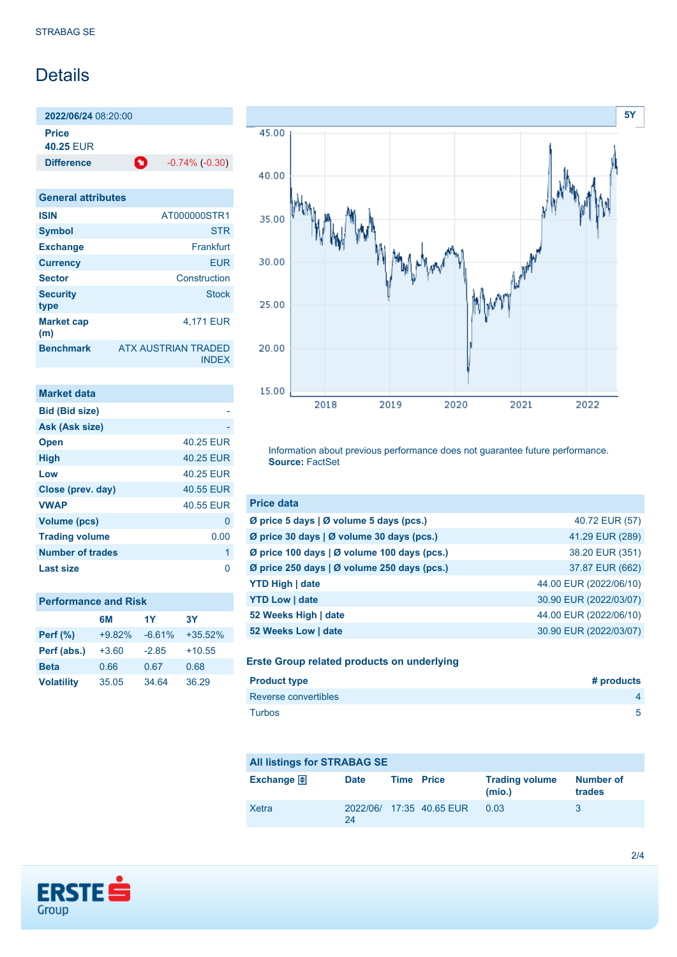# Details

**2022/06/24** 08:20:00 **Price 40.25** EUR

**Difference 1** -0.74% (-0.30)

| <b>General attributes</b> |                                            |
|---------------------------|--------------------------------------------|
| <b>ISIN</b>               | AT000000STR1                               |
| <b>Symbol</b>             | STR                                        |
| <b>Exchange</b>           | Frankfurt                                  |
| <b>Currency</b>           | <b>EUR</b>                                 |
| <b>Sector</b>             | Construction                               |
| <b>Security</b><br>type   | <b>Stock</b>                               |
| <b>Market cap</b><br>(m)  | 4.171 EUR                                  |
| <b>Benchmark</b>          | <b>ATX AUSTRIAN TRADED</b><br><b>INDEX</b> |

| <b>Market data</b>    |           |
|-----------------------|-----------|
| <b>Bid (Bid size)</b> |           |
| Ask (Ask size)        |           |
| <b>Open</b>           | 40.25 EUR |
| <b>High</b>           | 40.25 EUR |
| Low                   | 40.25 EUR |
| Close (prev. day)     | 40.55 EUR |
| <b>VWAP</b>           | 40.55 EUR |
| <b>Volume (pcs)</b>   | 0         |
| <b>Trading volume</b> | 0.00      |
| Number of trades      | 1         |
| Last size             |           |

|                   | 6M       | 1Y       | 3Y        |
|-------------------|----------|----------|-----------|
| <b>Perf</b> (%)   | $+9.82%$ | $-6.61%$ | $+35.52%$ |
| Perf (abs.)       | $+3.60$  | $-2.85$  | $+10.55$  |
| <b>Beta</b>       | 0.66     | 0.67     | 0.68      |
| <b>Volatility</b> | 35.05    | 34.64    | 36.29     |



Information about previous performance does not guarantee future performance. **Source:** FactSet

| <b>Price data</b>                           |                        |
|---------------------------------------------|------------------------|
| Ø price 5 days   Ø volume 5 days (pcs.)     | 40.72 EUR (57)         |
| Ø price 30 days   Ø volume 30 days (pcs.)   | 41.29 EUR (289)        |
| Ø price 100 days   Ø volume 100 days (pcs.) | 38.20 EUR (351)        |
| Ø price 250 days   Ø volume 250 days (pcs.) | 37.87 EUR (662)        |
| <b>YTD High   date</b>                      | 44.00 EUR (2022/06/10) |
| <b>YTD Low   date</b>                       | 30.90 EUR (2022/03/07) |
| 52 Weeks High   date                        | 44.00 EUR (2022/06/10) |
| 52 Weeks Low   date                         | 30.90 EUR (2022/03/07) |

### **Erste Group related products on underlying**

| <b>Product type</b>  | # products     |
|----------------------|----------------|
| Reverse convertibles | $\overline{a}$ |
| <b>Turbos</b>        | 5              |

| <b>All listings for STRABAG SE</b> |             |  |                          |                                 |                     |
|------------------------------------|-------------|--|--------------------------|---------------------------------|---------------------|
| Exchange $\bigoplus$               | <b>Date</b> |  | <b>Time Price</b>        | <b>Trading volume</b><br>(mio.) | Number of<br>trades |
| Xetra                              | 24          |  | 2022/06/ 17:35 40.65 EUR | 0.03                            | 3                   |

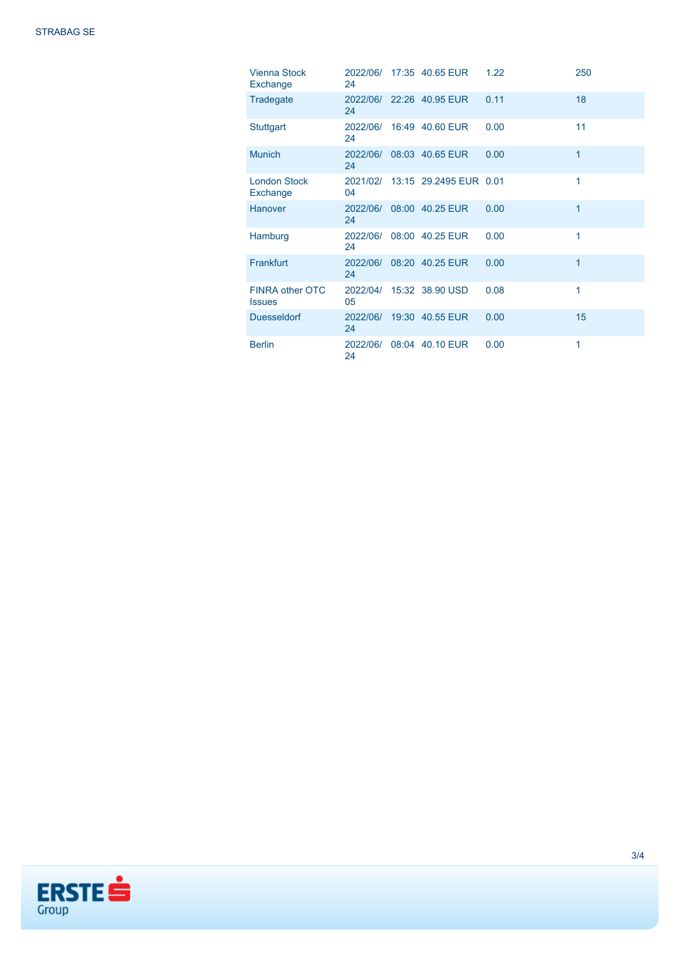| <b>Vienna Stock</b><br>Exchange  | 24             | 2022/06/ 17:35 40.65 EUR        | 1.22 | 250 |
|----------------------------------|----------------|---------------------------------|------|-----|
| Tradegate                        | 24             | 2022/06/ 22:26 40.95 EUR        | 0.11 | 18  |
| <b>Stuttgart</b>                 | 24             | 2022/06/ 16:49 40.60 EUR        | 0.00 | 11  |
| <b>Munich</b>                    | 24             | 2022/06/ 08:03 40.65 EUR        | 0.00 | 1   |
| <b>London Stock</b><br>Exchange  | 04             | 2021/02/ 13:15 29.2495 EUR 0.01 |      | 1   |
| Hanover                          | 24             | 2022/06/ 08:00 40.25 EUR        | 0.00 | 1   |
| Hamburg                          | 2022/06/<br>24 | 08:00 40.25 EUR                 | 0.00 | 1   |
| Frankfurt                        | 2022/06/<br>24 | 08:20 40.25 EUR                 | 0.00 | 1   |
| FINRA other OTC<br><b>Issues</b> | 05             | 2022/04/ 15:32 38.90 USD        | 0.08 | 1   |
| <b>Duesseldorf</b>               | 24             | 2022/06/ 19:30 40.55 EUR        | 0.00 | 15  |
| <b>Berlin</b>                    | 2022/06/<br>24 | 08:04 40.10 EUR                 | 0.00 | 1   |